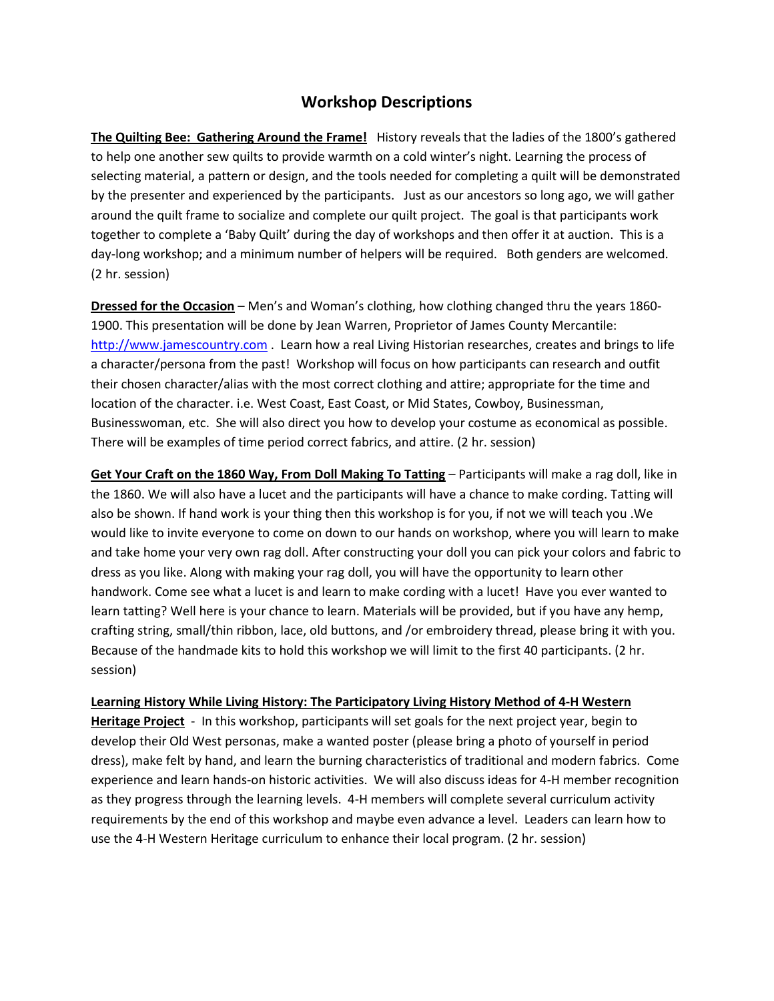## **Workshop Descriptions**

**The Quilting Bee: Gathering Around the Frame!** History reveals that the ladies of the 1800's gathered to help one another sew quilts to provide warmth on a cold winter's night. Learning the process of selecting material, a pattern or design, and the tools needed for completing a quilt will be demonstrated by the presenter and experienced by the participants. Just as our ancestors so long ago, we will gather around the quilt frame to socialize and complete our quilt project. The goal is that participants work together to complete a 'Baby Quilt' during the day of workshops and then offer it at auction. This is a day-long workshop; and a minimum number of helpers will be required. Both genders are welcomed. (2 hr. session)

**Dressed for the Occasion** – Men's and Woman's clothing, how clothing changed thru the years 1860- 1900. This presentation will be done by Jean Warren, Proprietor of James County Mercantile: [http://www.jamescountry.com](http://www.jamescountry.com/) . Learn how a real Living Historian researches, creates and brings to life a character/persona from the past! Workshop will focus on how participants can research and outfit their chosen character/alias with the most correct clothing and attire; appropriate for the time and location of the character. i.e. West Coast, East Coast, or Mid States, Cowboy, Businessman, Businesswoman, etc. She will also direct you how to develop your costume as economical as possible. There will be examples of time period correct fabrics, and attire. (2 hr. session)

**Get Your Craft on the 1860 Way, From Doll Making To Tatting** – Participants will make a rag doll, like in the 1860. We will also have a lucet and the participants will have a chance to make cording. Tatting will also be shown. If hand work is your thing then this workshop is for you, if not we will teach you .We would like to invite everyone to come on down to our hands on workshop, where you will learn to make and take home your very own rag doll. After constructing your doll you can pick your colors and fabric to dress as you like. Along with making your rag doll, you will have the opportunity to learn other handwork. Come see what a lucet is and learn to make cording with a lucet! Have you ever wanted to learn tatting? Well here is your chance to learn. Materials will be provided, but if you have any hemp, crafting string, small/thin ribbon, lace, old buttons, and /or embroidery thread, please bring it with you. Because of the handmade kits to hold this workshop we will limit to the first 40 participants. (2 hr. session)

## **Learning History While Living History: The Participatory Living History Method of 4-H Western**

**Heritage Project** - In this workshop, participants will set goals for the next project year, begin to develop their Old West personas, make a wanted poster (please bring a photo of yourself in period dress), make felt by hand, and learn the burning characteristics of traditional and modern fabrics. Come experience and learn hands-on historic activities. We will also discuss ideas for 4-H member recognition as they progress through the learning levels. 4-H members will complete several curriculum activity requirements by the end of this workshop and maybe even advance a level. Leaders can learn how to use the 4-H Western Heritage curriculum to enhance their local program. (2 hr. session)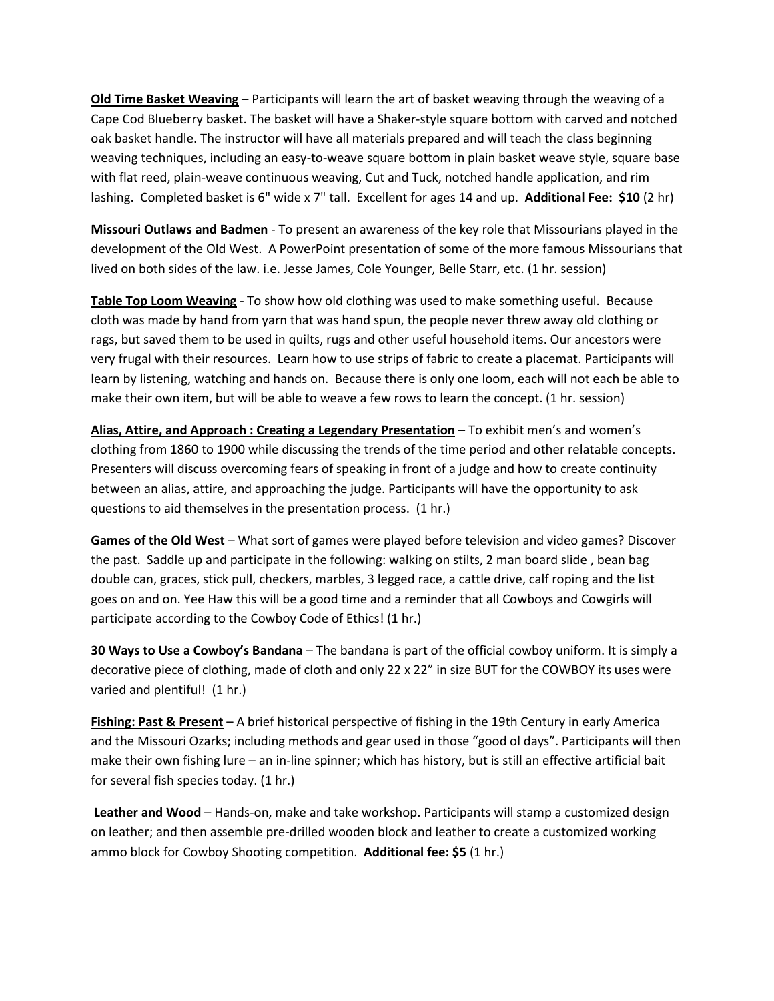**Old Time Basket Weaving** – Participants will learn the art of basket weaving through the weaving of a Cape Cod Blueberry basket. The basket will have a Shaker-style square bottom with carved and notched oak basket handle. The instructor will have all materials prepared and will teach the class beginning weaving techniques, including an easy-to-weave square bottom in plain basket weave style, square base with flat reed, plain-weave continuous weaving, Cut and Tuck, notched handle application, and rim lashing. Completed basket is 6" wide x 7" tall. Excellent for ages 14 and up. **Additional Fee: \$10** (2 hr)

**Missouri Outlaws and Badmen** - To present an awareness of the key role that Missourians played in the development of the Old West. A PowerPoint presentation of some of the more famous Missourians that lived on both sides of the law. i.e. Jesse James, Cole Younger, Belle Starr, etc. (1 hr. session)

**Table Top Loom Weaving** - To show how old clothing was used to make something useful. Because cloth was made by hand from yarn that was hand spun, the people never threw away old clothing or rags, but saved them to be used in quilts, rugs and other useful household items. Our ancestors were very frugal with their resources. Learn how to use strips of fabric to create a placemat. Participants will learn by listening, watching and hands on. Because there is only one loom, each will not each be able to make their own item, but will be able to weave a few rows to learn the concept. (1 hr. session)

**Alias, Attire, and Approach : Creating a Legendary Presentation** – To exhibit men's and women's clothing from 1860 to 1900 while discussing the trends of the time period and other relatable concepts. Presenters will discuss overcoming fears of speaking in front of a judge and how to create continuity between an alias, attire, and approaching the judge. Participants will have the opportunity to ask questions to aid themselves in the presentation process. (1 hr.)

**Games of the Old West** – What sort of games were played before television and video games? Discover the past. Saddle up and participate in the following: walking on stilts, 2 man board slide , bean bag double can, graces, stick pull, checkers, marbles, 3 legged race, a cattle drive, calf roping and the list goes on and on. Yee Haw this will be a good time and a reminder that all Cowboys and Cowgirls will participate according to the Cowboy Code of Ethics! (1 hr.)

**30 Ways to Use a Cowboy's Bandana** – The bandana is part of the official cowboy uniform. It is simply a decorative piece of clothing, made of cloth and only 22 x 22" in size BUT for the COWBOY its uses were varied and plentiful! (1 hr.)

**Fishing: Past & Present** – A brief historical perspective of fishing in the 19th Century in early America and the Missouri Ozarks; including methods and gear used in those "good ol days". Participants will then make their own fishing lure – an in-line spinner; which has history, but is still an effective artificial bait for several fish species today. (1 hr.)

**Leather and Wood** – Hands-on, make and take workshop. Participants will stamp a customized design on leather; and then assemble pre-drilled wooden block and leather to create a customized working ammo block for Cowboy Shooting competition. **Additional fee: \$5** (1 hr.)